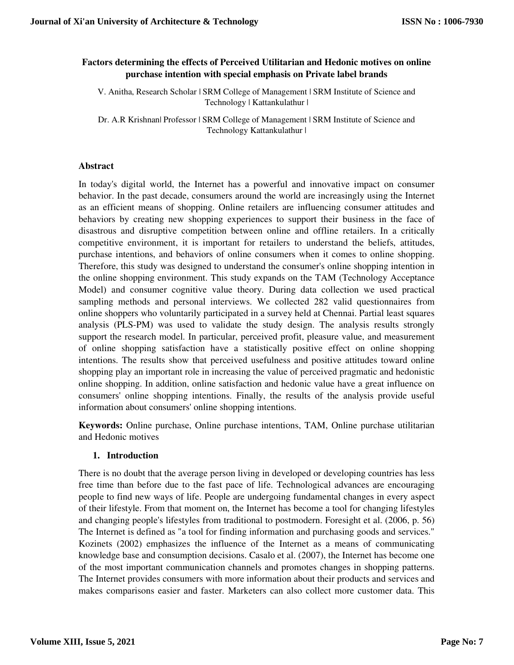# **Factors determining the effects of Perceived Utilitarian and Hedonic motives on online purchase intention with special emphasis on Private label brands**

V. Anitha, Research Scholar | SRM College of Management | SRM Institute of Science and Technology | Kattankulathur |

Dr. A.R Krishnan| Professor | SRM College of Management | SRM Institute of Science and Technology Kattankulathur |

## **Abstract**

In today's digital world, the Internet has a powerful and innovative impact on consumer behavior. In the past decade, consumers around the world are increasingly using the Internet as an efficient means of shopping. Online retailers are influencing consumer attitudes and behaviors by creating new shopping experiences to support their business in the face of disastrous and disruptive competition between online and offline retailers. In a critically competitive environment, it is important for retailers to understand the beliefs, attitudes, purchase intentions, and behaviors of online consumers when it comes to online shopping. Therefore, this study was designed to understand the consumer's online shopping intention in the online shopping environment. This study expands on the TAM (Technology Acceptance Model) and consumer cognitive value theory. During data collection we used practical sampling methods and personal interviews. We collected 282 valid questionnaires from online shoppers who voluntarily participated in a survey held at Chennai. Partial least squares analysis (PLS-PM) was used to validate the study design. The analysis results strongly support the research model. In particular, perceived profit, pleasure value, and measurement of online shopping satisfaction have a statistically positive effect on online shopping intentions. The results show that perceived usefulness and positive attitudes toward online shopping play an important role in increasing the value of perceived pragmatic and hedonistic online shopping. In addition, online satisfaction and hedonic value have a great influence on consumers' online shopping intentions. Finally, the results of the analysis provide useful information about consumers' online shopping intentions.

**Keywords:** Online purchase, Online purchase intentions, TAM, Online purchase utilitarian and Hedonic motives

# **1. Introduction**

There is no doubt that the average person living in developed or developing countries has less free time than before due to the fast pace of life. Technological advances are encouraging people to find new ways of life. People are undergoing fundamental changes in every aspect of their lifestyle. From that moment on, the Internet has become a tool for changing lifestyles and changing people's lifestyles from traditional to postmodern. Foresight et al. (2006, p. 56) The Internet is defined as "a tool for finding information and purchasing goods and services." Kozinets (2002) emphasizes the influence of the Internet as a means of communicating knowledge base and consumption decisions. Casalo et al. (2007), the Internet has become one of the most important communication channels and promotes changes in shopping patterns. The Internet provides consumers with more information about their products and services and makes comparisons easier and faster. Marketers can also collect more customer data. This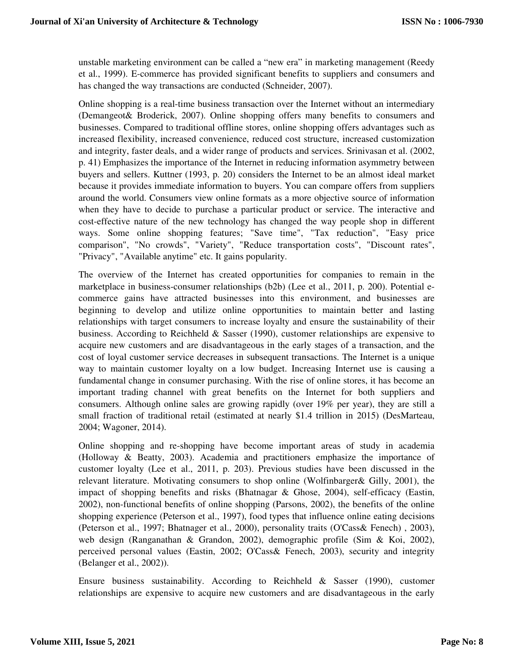unstable marketing environment can be called a "new era" in marketing management (Reedy et al., 1999). E-commerce has provided significant benefits to suppliers and consumers and has changed the way transactions are conducted (Schneider, 2007).

Online shopping is a real-time business transaction over the Internet without an intermediary (Demangeot& Broderick, 2007). Online shopping offers many benefits to consumers and businesses. Compared to traditional offline stores, online shopping offers advantages such as increased flexibility, increased convenience, reduced cost structure, increased customization and integrity, faster deals, and a wider range of products and services. Srinivasan et al. (2002, p. 41) Emphasizes the importance of the Internet in reducing information asymmetry between buyers and sellers. Kuttner (1993, p. 20) considers the Internet to be an almost ideal market because it provides immediate information to buyers. You can compare offers from suppliers around the world. Consumers view online formats as a more objective source of information when they have to decide to purchase a particular product or service. The interactive and cost-effective nature of the new technology has changed the way people shop in different ways. Some online shopping features; "Save time", "Tax reduction", "Easy price comparison", "No crowds", "Variety", "Reduce transportation costs", "Discount rates", "Privacy", "Available anytime" etc. It gains popularity.

The overview of the Internet has created opportunities for companies to remain in the marketplace in business-consumer relationships (b2b) (Lee et al., 2011, p. 200). Potential ecommerce gains have attracted businesses into this environment, and businesses are beginning to develop and utilize online opportunities to maintain better and lasting relationships with target consumers to increase loyalty and ensure the sustainability of their business. According to Reichheld & Sasser (1990), customer relationships are expensive to acquire new customers and are disadvantageous in the early stages of a transaction, and the cost of loyal customer service decreases in subsequent transactions. The Internet is a unique way to maintain customer loyalty on a low budget. Increasing Internet use is causing a fundamental change in consumer purchasing. With the rise of online stores, it has become an important trading channel with great benefits on the Internet for both suppliers and consumers. Although online sales are growing rapidly (over 19% per year), they are still a small fraction of traditional retail (estimated at nearly \$1.4 trillion in 2015) (DesMarteau, 2004; Wagoner, 2014).

Online shopping and re-shopping have become important areas of study in academia (Holloway & Beatty, 2003). Academia and practitioners emphasize the importance of customer loyalty (Lee et al., 2011, p. 203). Previous studies have been discussed in the relevant literature. Motivating consumers to shop online (Wolfinbarger& Gilly, 2001), the impact of shopping benefits and risks (Bhatnagar & Ghose, 2004), self-efficacy (Eastin, 2002), non-functional benefits of online shopping (Parsons, 2002), the benefits of the online shopping experience (Peterson et al., 1997), food types that influence online eating decisions (Peterson et al., 1997; Bhatnager et al., 2000), personality traits (O'Cass& Fenech) , 2003), web design (Ranganathan & Grandon, 2002), demographic profile (Sim & Koi, 2002), perceived personal values (Eastin, 2002; O'Cass& Fenech, 2003), security and integrity (Belanger et al., 2002)).

Ensure business sustainability. According to Reichheld & Sasser (1990), customer relationships are expensive to acquire new customers and are disadvantageous in the early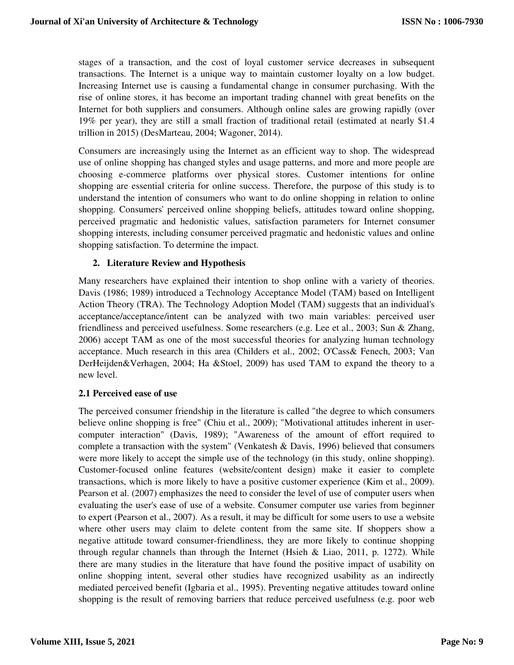stages of a transaction, and the cost of loyal customer service decreases in subsequent transactions. The Internet is a unique way to maintain customer loyalty on a low budget. Increasing Internet use is causing a fundamental change in consumer purchasing. With the rise of online stores, it has become an important trading channel with great benefits on the Internet for both suppliers and consumers. Although online sales are growing rapidly (over 19% per year), they are still a small fraction of traditional retail (estimated at nearly \$1.4 trillion in 2015) (DesMarteau, 2004; Wagoner, 2014).

Consumers are increasingly using the Internet as an efficient way to shop. The widespread use of online shopping has changed styles and usage patterns, and more and more people are choosing e-commerce platforms over physical stores. Customer intentions for online shopping are essential criteria for online success. Therefore, the purpose of this study is to understand the intention of consumers who want to do online shopping in relation to online shopping. Consumers' perceived online shopping beliefs, attitudes toward online shopping, perceived pragmatic and hedonistic values, satisfaction parameters for Internet consumer shopping interests, including consumer perceived pragmatic and hedonistic values and online shopping satisfaction. To determine the impact.

## **2. Literature Review and Hypothesis**

Many researchers have explained their intention to shop online with a variety of theories. Davis (1986; 1989) introduced a Technology Acceptance Model (TAM) based on Intelligent Action Theory (TRA). The Technology Adoption Model (TAM) suggests that an individual's acceptance/acceptance/intent can be analyzed with two main variables: perceived user friendliness and perceived usefulness. Some researchers (e.g. Lee et al., 2003; Sun & Zhang, 2006) accept TAM as one of the most successful theories for analyzing human technology acceptance. Much research in this area (Childers et al., 2002; O'Cass& Fenech, 2003; Van DerHeijden&Verhagen, 2004; Ha &Stoel, 2009) has used TAM to expand the theory to a new level.

### **2.1 Perceived ease of use**

The perceived consumer friendship in the literature is called "the degree to which consumers believe online shopping is free" (Chiu et al., 2009); "Motivational attitudes inherent in usercomputer interaction" (Davis, 1989); "Awareness of the amount of effort required to complete a transaction with the system" (Venkatesh & Davis, 1996) believed that consumers were more likely to accept the simple use of the technology (in this study, online shopping). Customer-focused online features (website/content design) make it easier to complete transactions, which is more likely to have a positive customer experience (Kim et al., 2009). Pearson et al. (2007) emphasizes the need to consider the level of use of computer users when evaluating the user's ease of use of a website. Consumer computer use varies from beginner to expert (Pearson et al., 2007). As a result, it may be difficult for some users to use a website where other users may claim to delete content from the same site. If shoppers show a negative attitude toward consumer-friendliness, they are more likely to continue shopping through regular channels than through the Internet (Hsieh  $& Liao, 2011, p. 1272$ ). While there are many studies in the literature that have found the positive impact of usability on online shopping intent, several other studies have recognized usability as an indirectly mediated perceived benefit (Igbaria et al., 1995). Preventing negative attitudes toward online shopping is the result of removing barriers that reduce perceived usefulness (e.g. poor web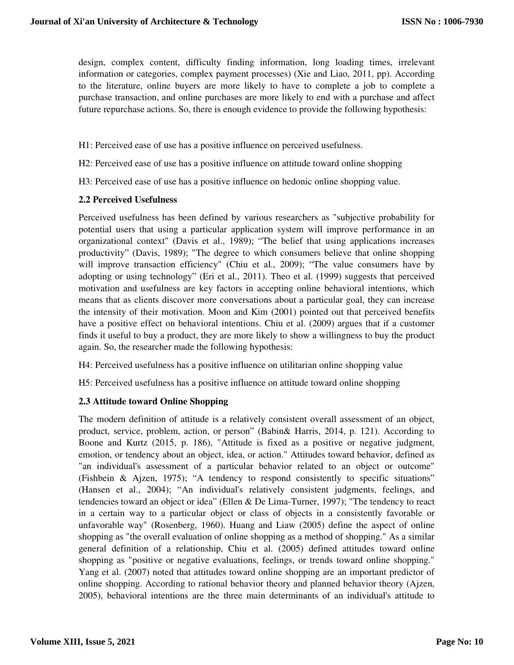design, complex content, difficulty finding information, long loading times, irrelevant information or categories, complex payment processes) (Xie and Liao, 2011, pp). According to the literature, online buyers are more likely to have to complete a job to complete a purchase transaction, and online purchases are more likely to end with a purchase and affect future repurchase actions. So, there is enough evidence to provide the following hypothesis:

H1: Perceived ease of use has a positive influence on perceived usefulness.

H2: Perceived ease of use has a positive influence on attitude toward online shopping

H3: Perceived ease of use has a positive influence on hedonic online shopping value.

#### **2.2 Perceived Usefulness**

Perceived usefulness has been defined by various researchers as "subjective probability for potential users that using a particular application system will improve performance in an organizational context" (Davis et al., 1989); "The belief that using applications increases productivity" (Davis, 1989); "The degree to which consumers believe that online shopping will improve transaction efficiency" (Chiu et al., 2009); "The value consumers have by adopting or using technology" (Eri et al., 2011). Theo et al. (1999) suggests that perceived motivation and usefulness are key factors in accepting online behavioral intentions, which means that as clients discover more conversations about a particular goal, they can increase the intensity of their motivation. Moon and Kim (2001) pointed out that perceived benefits have a positive effect on behavioral intentions. Chiu et al. (2009) argues that if a customer finds it useful to buy a product, they are more likely to show a willingness to buy the product again. So, the researcher made the following hypothesis:

H4: Perceived usefulness has a positive influence on utilitarian online shopping value

H5: Perceived usefulness has a positive influence on attitude toward online shopping

### **2.3 Attitude toward Online Shopping**

The modern definition of attitude is a relatively consistent overall assessment of an object, product, service, problem, action, or person" (Babin& Harris, 2014, p. 121). According to Boone and Kurtz (2015, p. 186), "Attitude is fixed as a positive or negative judgment, emotion, or tendency about an object, idea, or action." Attitudes toward behavior, defined as "an individual's assessment of a particular behavior related to an object or outcome" (Fishbein & Ajzen, 1975); "A tendency to respond consistently to specific situations" (Hansen et al., 2004); "An individual's relatively consistent judgments, feelings, and tendencies toward an object or idea" (Ellen & De Lima-Turner, 1997); "The tendency to react in a certain way to a particular object or class of objects in a consistently favorable or unfavorable way" (Rosenberg, 1960). Huang and Liaw (2005) define the aspect of online shopping as "the overall evaluation of online shopping as a method of shopping." As a similar general definition of a relationship, Chiu et al. (2005) defined attitudes toward online shopping as "positive or negative evaluations, feelings, or trends toward online shopping." Yang et al. (2007) noted that attitudes toward online shopping are an important predictor of online shopping. According to rational behavior theory and planned behavior theory (Ajzen, 2005), behavioral intentions are the three main determinants of an individual's attitude to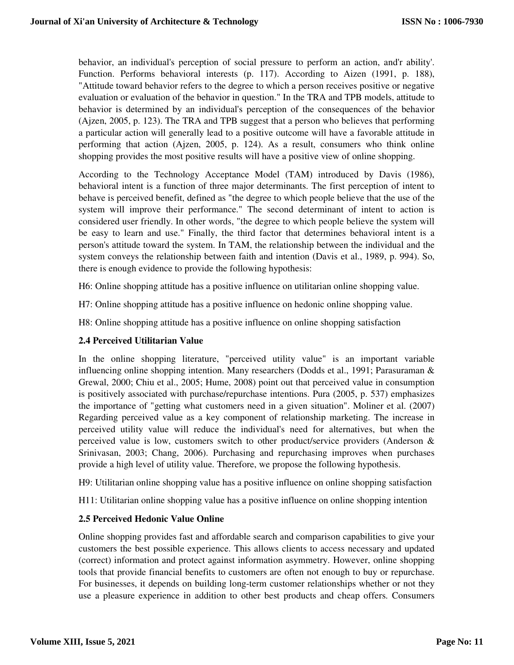behavior, an individual's perception of social pressure to perform an action, and'r ability'. Function. Performs behavioral interests (p. 117). According to Aizen (1991, p. 188), "Attitude toward behavior refers to the degree to which a person receives positive or negative evaluation or evaluation of the behavior in question." In the TRA and TPB models, attitude to behavior is determined by an individual's perception of the consequences of the behavior (Ajzen, 2005, p. 123). The TRA and TPB suggest that a person who believes that performing a particular action will generally lead to a positive outcome will have a favorable attitude in performing that action (Ajzen, 2005, p. 124). As a result, consumers who think online shopping provides the most positive results will have a positive view of online shopping.

According to the Technology Acceptance Model (TAM) introduced by Davis (1986), behavioral intent is a function of three major determinants. The first perception of intent to behave is perceived benefit, defined as "the degree to which people believe that the use of the system will improve their performance." The second determinant of intent to action is considered user friendly. In other words, "the degree to which people believe the system will be easy to learn and use." Finally, the third factor that determines behavioral intent is a person's attitude toward the system. In TAM, the relationship between the individual and the system conveys the relationship between faith and intention (Davis et al., 1989, p. 994). So, there is enough evidence to provide the following hypothesis:

H6: Online shopping attitude has a positive influence on utilitarian online shopping value.

H7: Online shopping attitude has a positive influence on hedonic online shopping value.

H8: Online shopping attitude has a positive influence on online shopping satisfaction

### **2.4 Perceived Utilitarian Value**

In the online shopping literature, "perceived utility value" is an important variable influencing online shopping intention. Many researchers (Dodds et al., 1991; Parasuraman & Grewal, 2000; Chiu et al., 2005; Hume, 2008) point out that perceived value in consumption is positively associated with purchase/repurchase intentions. Pura (2005, p. 537) emphasizes the importance of "getting what customers need in a given situation". Moliner et al. (2007) Regarding perceived value as a key component of relationship marketing. The increase in perceived utility value will reduce the individual's need for alternatives, but when the perceived value is low, customers switch to other product/service providers (Anderson & Srinivasan, 2003; Chang, 2006). Purchasing and repurchasing improves when purchases provide a high level of utility value. Therefore, we propose the following hypothesis.

H9: Utilitarian online shopping value has a positive influence on online shopping satisfaction

H11: Utilitarian online shopping value has a positive influence on online shopping intention

# **2.5 Perceived Hedonic Value Online**

Online shopping provides fast and affordable search and comparison capabilities to give your customers the best possible experience. This allows clients to access necessary and updated (correct) information and protect against information asymmetry. However, online shopping tools that provide financial benefits to customers are often not enough to buy or repurchase. For businesses, it depends on building long-term customer relationships whether or not they use a pleasure experience in addition to other best products and cheap offers. Consumers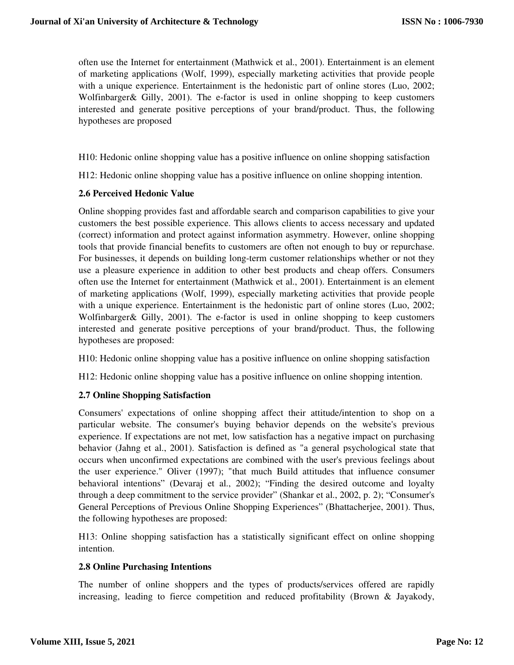often use the Internet for entertainment (Mathwick et al., 2001). Entertainment is an element of marketing applications (Wolf, 1999), especially marketing activities that provide people with a unique experience. Entertainment is the hedonistic part of online stores (Luo, 2002; Wolfinbarger& Gilly, 2001). The e-factor is used in online shopping to keep customers interested and generate positive perceptions of your brand/product. Thus, the following hypotheses are proposed

H10: Hedonic online shopping value has a positive influence on online shopping satisfaction

H12: Hedonic online shopping value has a positive influence on online shopping intention.

## **2.6 Perceived Hedonic Value**

Online shopping provides fast and affordable search and comparison capabilities to give your customers the best possible experience. This allows clients to access necessary and updated (correct) information and protect against information asymmetry. However, online shopping tools that provide financial benefits to customers are often not enough to buy or repurchase. For businesses, it depends on building long-term customer relationships whether or not they use a pleasure experience in addition to other best products and cheap offers. Consumers often use the Internet for entertainment (Mathwick et al., 2001). Entertainment is an element of marketing applications (Wolf, 1999), especially marketing activities that provide people with a unique experience. Entertainment is the hedonistic part of online stores (Luo, 2002; Wolfinbarger& Gilly, 2001). The e-factor is used in online shopping to keep customers interested and generate positive perceptions of your brand/product. Thus, the following hypotheses are proposed:

H10: Hedonic online shopping value has a positive influence on online shopping satisfaction

H12: Hedonic online shopping value has a positive influence on online shopping intention.

# **2.7 Online Shopping Satisfaction**

Consumers' expectations of online shopping affect their attitude/intention to shop on a particular website. The consumer's buying behavior depends on the website's previous experience. If expectations are not met, low satisfaction has a negative impact on purchasing behavior (Jahng et al., 2001). Satisfaction is defined as "a general psychological state that occurs when unconfirmed expectations are combined with the user's previous feelings about the user experience." Oliver (1997); "that much Build attitudes that influence consumer behavioral intentions" (Devaraj et al., 2002); "Finding the desired outcome and loyalty through a deep commitment to the service provider" (Shankar et al., 2002, p. 2); "Consumer's General Perceptions of Previous Online Shopping Experiences" (Bhattacherjee, 2001). Thus, the following hypotheses are proposed:

H13: Online shopping satisfaction has a statistically significant effect on online shopping intention.

### **2.8 Online Purchasing Intentions**

The number of online shoppers and the types of products/services offered are rapidly increasing, leading to fierce competition and reduced profitability (Brown & Jayakody,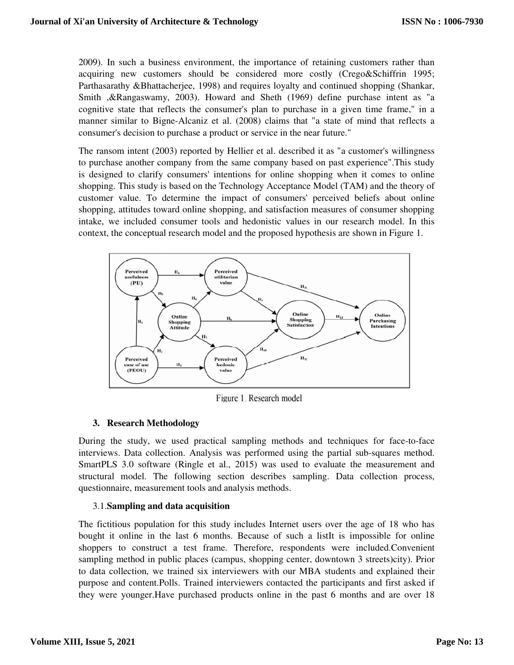2009). In such a business environment, the importance of retaining customers rather than acquiring new customers should be considered more costly (Crego&Schiffrin 1995; Parthasarathy &Bhattacherjee, 1998) and requires loyalty and continued shopping (Shankar, Smith ,&Rangaswamy, 2003). Howard and Sheth (1969) define purchase intent as "a cognitive state that reflects the consumer's plan to purchase in a given time frame," in a manner similar to Bigne-Alcaniz et al. (2008) claims that "a state of mind that reflects a consumer's decision to purchase a product or service in the near future."

The ransom intent (2003) reported by Hellier et al. described it as "a customer's willingness to purchase another company from the same company based on past experience".This study is designed to clarify consumers' intentions for online shopping when it comes to online shopping. This study is based on the Technology Acceptance Model (TAM) and the theory of customer value. To determine the impact of consumers' perceived beliefs about online shopping, attitudes toward online shopping, and satisfaction measures of consumer shopping intake, we included consumer tools and hedonistic values in our research model. In this context, the conceptual research model and the proposed hypothesis are shown in Figure 1.



Figure 1. Research model

### **3. Research Methodology**

During the study, we used practical sampling methods and techniques for face-to-face interviews. Data collection. Analysis was performed using the partial sub-squares method. SmartPLS 3.0 software (Ringle et al., 2015) was used to evaluate the measurement and structural model. The following section describes sampling. Data collection process, questionnaire, measurement tools and analysis methods.

### 3.1.**Sampling and data acquisition**

The fictitious population for this study includes Internet users over the age of 18 who has bought it online in the last 6 months. Because of such a listIt is impossible for online shoppers to construct a test frame. Therefore, respondents were included.Convenient sampling method in public places (campus, shopping center, downtown 3 streets)city). Prior to data collection, we trained six interviewers with our MBA students and explained their purpose and content.Polls. Trained interviewers contacted the participants and first asked if they were younger.Have purchased products online in the past 6 months and are over 18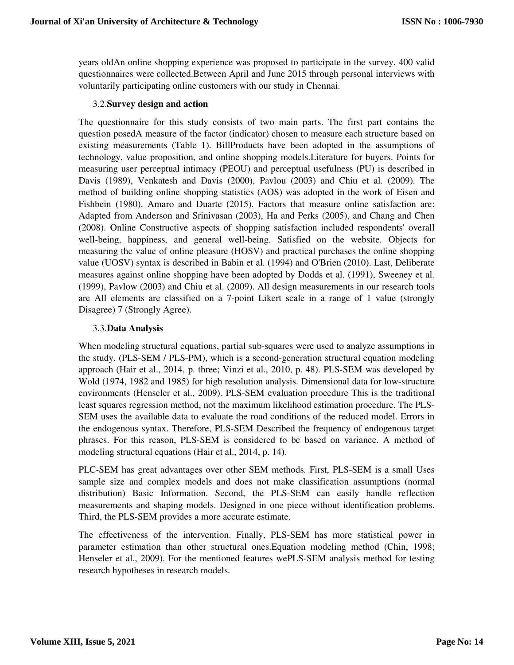years oldAn online shopping experience was proposed to participate in the survey. 400 valid questionnaires were collected.Between April and June 2015 through personal interviews with voluntarily participating online customers with our study in Chennai.

## 3.2.**Survey design and action**

The questionnaire for this study consists of two main parts. The first part contains the question posedA measure of the factor (indicator) chosen to measure each structure based on existing measurements (Table 1). BillProducts have been adopted in the assumptions of technology, value proposition, and online shopping models.Literature for buyers. Points for measuring user perceptual intimacy (PEOU) and perceptual usefulness (PU) is described in Davis (1989), Venkatesh and Davis (2000), Pavlou (2003) and Chiu et al. (2009). The method of building online shopping statistics (AOS) was adopted in the work of Eisen and Fishbein (1980). Amaro and Duarte (2015). Factors that measure online satisfaction are: Adapted from Anderson and Srinivasan (2003), Ha and Perks (2005), and Chang and Chen (2008). Online Constructive aspects of shopping satisfaction included respondents' overall well-being, happiness, and general well-being. Satisfied on the website. Objects for measuring the value of online pleasure (HOSV) and practical purchases the online shopping value (UOSV) syntax is described in Babin et al. (1994) and O'Brien (2010). Last, Deliberate measures against online shopping have been adopted by Dodds et al. (1991), Sweeney et al. (1999), Pavlow (2003) and Chiu et al. (2009). All design measurements in our research tools are All elements are classified on a 7-point Likert scale in a range of 1 value (strongly Disagree) 7 (Strongly Agree).

## 3.3.**Data Analysis**

When modeling structural equations, partial sub-squares were used to analyze assumptions in the study. (PLS-SEM / PLS-PM), which is a second-generation structural equation modeling approach (Hair et al., 2014, p. three; Vinzi et al., 2010, p. 48). PLS-SEM was developed by Wold (1974, 1982 and 1985) for high resolution analysis. Dimensional data for low-structure environments (Henseler et al., 2009). PLS-SEM evaluation procedure This is the traditional least squares regression method, not the maximum likelihood estimation procedure. The PLS-SEM uses the available data to evaluate the road conditions of the reduced model. Errors in the endogenous syntax. Therefore, PLS-SEM Described the frequency of endogenous target phrases. For this reason, PLS-SEM is considered to be based on variance. A method of modeling structural equations (Hair et al., 2014, p. 14).

PLC-SEM has great advantages over other SEM methods. First, PLS-SEM is a small Uses sample size and complex models and does not make classification assumptions (normal distribution) Basic Information. Second, the PLS-SEM can easily handle reflection measurements and shaping models. Designed in one piece without identification problems. Third, the PLS-SEM provides a more accurate estimate.

The effectiveness of the intervention. Finally, PLS-SEM has more statistical power in parameter estimation than other structural ones.Equation modeling method (Chin, 1998; Henseler et al., 2009). For the mentioned features wePLS-SEM analysis method for testing research hypotheses in research models.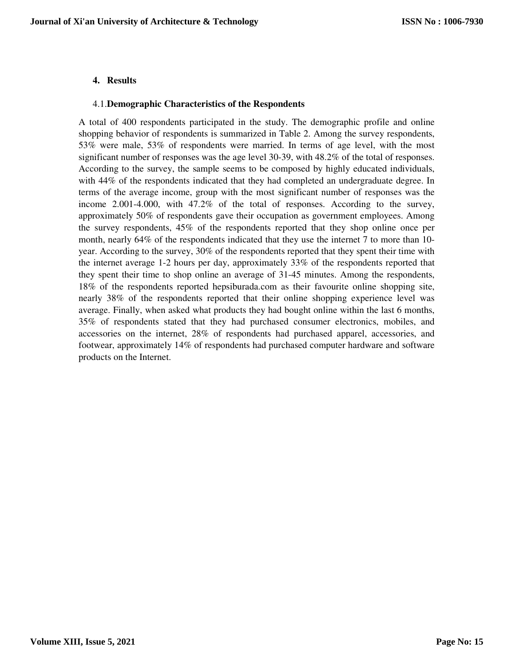## **4. Results**

#### 4.1.**Demographic Characteristics of the Respondents**

A total of 400 respondents participated in the study. The demographic profile and online shopping behavior of respondents is summarized in Table 2. Among the survey respondents, 53% were male, 53% of respondents were married. In terms of age level, with the most significant number of responses was the age level 30-39, with 48.2% of the total of responses. According to the survey, the sample seems to be composed by highly educated individuals, with 44% of the respondents indicated that they had completed an undergraduate degree. In terms of the average income, group with the most significant number of responses was the income 2.001-4.000, with 47.2% of the total of responses. According to the survey, approximately 50% of respondents gave their occupation as government employees. Among the survey respondents, 45% of the respondents reported that they shop online once per month, nearly 64% of the respondents indicated that they use the internet 7 to more than 10 year. According to the survey, 30% of the respondents reported that they spent their time with the internet average 1-2 hours per day, approximately 33% of the respondents reported that they spent their time to shop online an average of 31-45 minutes. Among the respondents, 18% of the respondents reported hepsiburada.com as their favourite online shopping site, nearly 38% of the respondents reported that their online shopping experience level was average. Finally, when asked what products they had bought online within the last 6 months, 35% of respondents stated that they had purchased consumer electronics, mobiles, and accessories on the internet, 28% of respondents had purchased apparel, accessories, and footwear, approximately 14% of respondents had purchased computer hardware and software products on the Internet.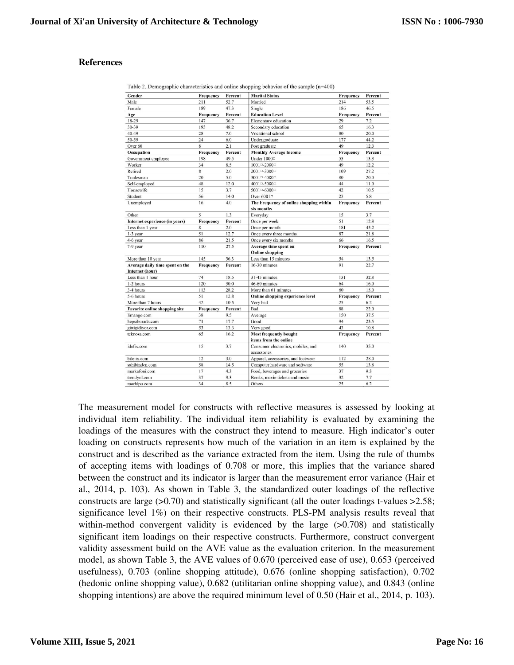## **References**

| Gender                                             | Frequency | Percent | <b>Marital Status</b>                                 | Frequency | Percent |
|----------------------------------------------------|-----------|---------|-------------------------------------------------------|-----------|---------|
| Male                                               | 211       | 52.7    | Married                                               | 214       | 53.5    |
| Female                                             | 189       | 47.3    | Single                                                | 186       | 46.5    |
| Age                                                | Frequency | Percent | <b>Education Level</b>                                | Frequency | Percent |
| 18-29                                              | 147       | 36.7    | Elementary education                                  | 29        | 7.2     |
| 30-39                                              | 193       | 48.2    | Secondary education                                   | 65        | 16.3    |
| 40-49                                              | 28        | 7.0     | Vocational school                                     | 80        | 20.0    |
| 50-59                                              | 24        | 6.0     | Undergraduate                                         | 177       | 44.2    |
| Over <sub>60</sub>                                 | 8         | 2.1     | Post graduate                                         | 49        | 12.3    |
| Occupation                                         | Frequency | Percent | <b>Monthly Average Income</b>                         | Frequency | Percent |
| Government employee                                | 198       | 49.5    | Under 10000                                           | 53        | 13.3    |
| Worker                                             | 34        | 8.5     | 1001□-2000□                                           | 49        | 12.2    |
| Retired                                            | 8         | 2.0     | 2001□-3000□                                           | 109       | 27.2    |
| Tradesman                                          | 20        | 5.0     | 3001□-4000□                                           | 80        | 20.0    |
| Self-employed                                      | 48        | 12.0    | 4001□-5000□                                           | 44        | 11.0    |
| Housewife                                          | 15        | 3.7     | 5001□-6000□                                           | 42        | 10.5    |
| Student                                            | 56        | 14.0    | Over 6001 <sup>□</sup>                                | 23        | 5.8     |
| Unemployed                                         | 16        | 4.0     | The Frequency of online shopping within<br>six months | Frequency | Percent |
| Other                                              | 5         | 1.3     | Everyday                                              | 15        | 3.7     |
| Internet experience (in years)                     | Frequency | Percent | Once per week                                         | 51        | 12.8    |
| Less than 1 year                                   | 8         | 2.0     | Once per month                                        | 181       | 45.2    |
| 1-3 year                                           | 51        | 12.7    | Once every three months                               | 87        | 21.8    |
| 4-6 year                                           | 86        | 21.5    | Once every six months                                 | 66        | 16.5    |
| 7-9 year                                           | 110       | 27.5    | Average time spent on                                 | Frequency | Percent |
|                                                    |           |         | <b>Online shopping</b>                                |           |         |
| More than 10 year                                  | 145       | 36.3    | Less than 15 minutes                                  | 54        | 13.5    |
| Average daily time spent on the<br>Internet (hour) | Frequency | Percent | 16-30 minutes                                         | 91        | 22.7    |
| Less than 1 hour                                   | 74        | 18.5    | 31-45 minutes                                         | 131       | 32.8    |
| 1-2 hours                                          | 120       | 30.0    | 46-60 minutes                                         | 64        | 16.0    |
| 3-4 hours                                          | 113       | 28.2    | More than 61 minutes                                  | 60        | 15.0    |
| 5-6 hours                                          | 51        | 12.8    | Online shopping experience level                      | Frequency | Percent |
| More than 7 hours                                  | 42        | 10.5    | Very bad                                              | 25        | 6.2     |
| <b>Favorite online shopping site</b>               | Frequency | Percent | Bad                                                   | 88        | 22.0    |
| limango.com                                        | 38        | 9.5     | Average                                               | 150       | 37.5    |
| hepsiburada.com                                    | 71        | 17.7    | Good                                                  | 94        | 23.5    |
| gittigidiyor.com                                   | 53        | 13.3    | Very good                                             | 43        | 10.8    |
| teknosa.com                                        | 65        | 16.2    | <b>Most frequently bought</b>                         | Frequency | Percent |
|                                                    |           |         | items from the online                                 |           |         |
| idefix.com                                         | 15        | 3.7     | Consumer electronics, mobiles, and<br>accessories     | 140       | 35.0    |
| biletix.com                                        | 12        | 3.0     | Apparel, accessories, and footwear                    | 112       | 28.0    |
| sahibinden.com                                     | 58        | 14.5    | Computer hardware and software                        | 55        | 13.8    |
| markafoni.com                                      | 17        | 4.3     | Food, beverages and groceries                         | 37        | 9.3     |
| trendyol.com                                       | 37        | 9.3     | Books, movie tickets and music                        | 32        | 7.7     |
|                                                    |           |         |                                                       |           |         |

Table 2. Demographic characteristics and online shopping behavior of the sample  $(n=400)$ 

The measurement model for constructs with reflective measures is assessed by looking at individual item reliability. The individual item reliability is evaluated by examining the loadings of the measures with the construct they intend to measure. High indicator's outer loading on constructs represents how much of the variation in an item is explained by the construct and is described as the variance extracted from the item. Using the rule of thumbs of accepting items with loadings of 0.708 or more, this implies that the variance shared between the construct and its indicator is larger than the measurement error variance (Hair et al., 2014, p. 103). As shown in Table 3, the standardized outer loadings of the reflective constructs are large  $(>0.70)$  and statistically significant (all the outer loadings t-values  $>2.58$ ; significance level 1%) on their respective constructs. PLS-PM analysis results reveal that within-method convergent validity is evidenced by the large  $(>0.708)$  and statistically significant item loadings on their respective constructs. Furthermore, construct convergent validity assessment build on the AVE value as the evaluation criterion. In the measurement model, as shown Table 3, the AVE values of 0.670 (perceived ease of use), 0.653 (perceived usefulness), 0.703 (online shopping attitude), 0.676 (online shopping satisfaction), 0.702 (hedonic online shopping value), 0.682 (utilitarian online shopping value), and 0.843 (online shopping intentions) are above the required minimum level of 0.50 (Hair et al., 2014, p. 103).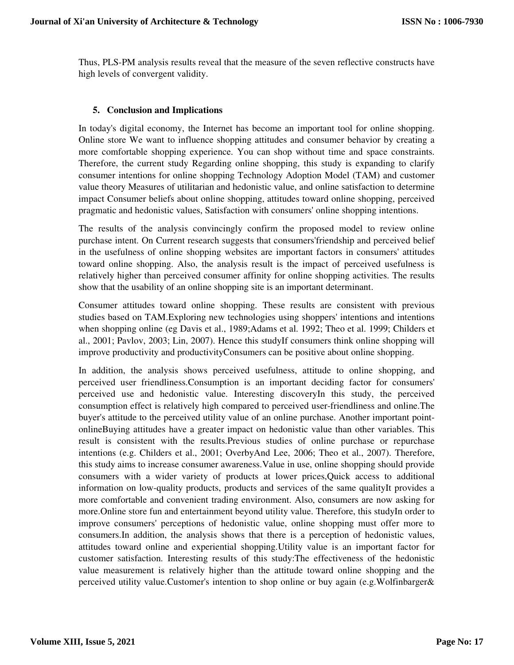Thus, PLS-PM analysis results reveal that the measure of the seven reflective constructs have high levels of convergent validity.

### **5. Conclusion and Implications**

In today's digital economy, the Internet has become an important tool for online shopping. Online store We want to influence shopping attitudes and consumer behavior by creating a more comfortable shopping experience. You can shop without time and space constraints. Therefore, the current study Regarding online shopping, this study is expanding to clarify consumer intentions for online shopping Technology Adoption Model (TAM) and customer value theory Measures of utilitarian and hedonistic value, and online satisfaction to determine impact Consumer beliefs about online shopping, attitudes toward online shopping, perceived pragmatic and hedonistic values, Satisfaction with consumers' online shopping intentions.

The results of the analysis convincingly confirm the proposed model to review online purchase intent. On Current research suggests that consumers'friendship and perceived belief in the usefulness of online shopping websites are important factors in consumers' attitudes toward online shopping. Also, the analysis result is the impact of perceived usefulness is relatively higher than perceived consumer affinity for online shopping activities. The results show that the usability of an online shopping site is an important determinant.

Consumer attitudes toward online shopping. These results are consistent with previous studies based on TAM.Exploring new technologies using shoppers' intentions and intentions when shopping online (eg Davis et al., 1989;Adams et al. 1992; Theo et al. 1999; Childers et al., 2001; Pavlov, 2003; Lin, 2007). Hence this studyIf consumers think online shopping will improve productivity and productivityConsumers can be positive about online shopping.

In addition, the analysis shows perceived usefulness, attitude to online shopping, and perceived user friendliness.Consumption is an important deciding factor for consumers' perceived use and hedonistic value. Interesting discoveryIn this study, the perceived consumption effect is relatively high compared to perceived user-friendliness and online.The buyer's attitude to the perceived utility value of an online purchase. Another important pointonlineBuying attitudes have a greater impact on hedonistic value than other variables. This result is consistent with the results.Previous studies of online purchase or repurchase intentions (e.g. Childers et al., 2001; OverbyAnd Lee, 2006; Theo et al., 2007). Therefore, this study aims to increase consumer awareness.Value in use, online shopping should provide consumers with a wider variety of products at lower prices,Quick access to additional information on low-quality products, products and services of the same qualityIt provides a more comfortable and convenient trading environment. Also, consumers are now asking for more.Online store fun and entertainment beyond utility value. Therefore, this studyIn order to improve consumers' perceptions of hedonistic value, online shopping must offer more to consumers.In addition, the analysis shows that there is a perception of hedonistic values, attitudes toward online and experiential shopping.Utility value is an important factor for customer satisfaction. Interesting results of this study:The effectiveness of the hedonistic value measurement is relatively higher than the attitude toward online shopping and the perceived utility value.Customer's intention to shop online or buy again (e.g.Wolfinbarger&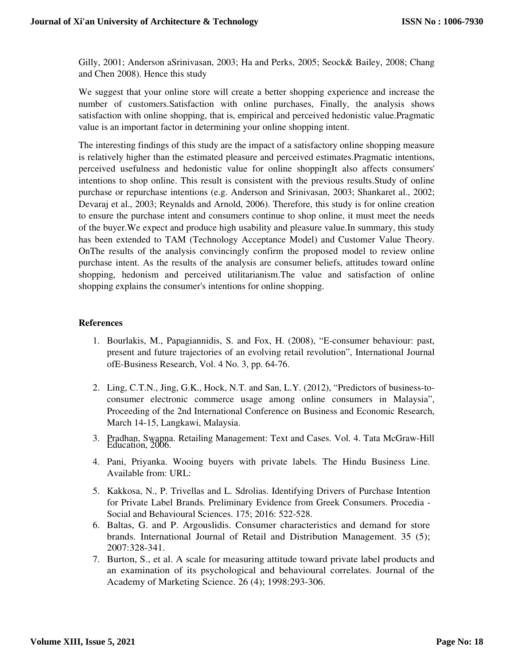Gilly, 2001; Anderson aSrinivasan, 2003; Ha and Perks, 2005; Seock& Bailey, 2008; Chang and Chen 2008). Hence this study

We suggest that your online store will create a better shopping experience and increase the number of customers.Satisfaction with online purchases, Finally, the analysis shows satisfaction with online shopping, that is, empirical and perceived hedonistic value.Pragmatic value is an important factor in determining your online shopping intent.

The interesting findings of this study are the impact of a satisfactory online shopping measure is relatively higher than the estimated pleasure and perceived estimates.Pragmatic intentions, perceived usefulness and hedonistic value for online shoppingIt also affects consumers' intentions to shop online. This result is consistent with the previous results.Study of online purchase or repurchase intentions (e.g. Anderson and Srinivasan, 2003; Shankaret al., 2002; Devaraj et al., 2003; Reynalds and Arnold, 2006). Therefore, this study is for online creation to ensure the purchase intent and consumers continue to shop online, it must meet the needs of the buyer.We expect and produce high usability and pleasure value.In summary, this study has been extended to TAM (Technology Acceptance Model) and Customer Value Theory. OnThe results of the analysis convincingly confirm the proposed model to review online purchase intent. As the results of the analysis are consumer beliefs, attitudes toward online shopping, hedonism and perceived utilitarianism.The value and satisfaction of online shopping explains the consumer's intentions for online shopping.

## **References**

- 1. Bourlakis, M., Papagiannidis, S. and Fox, H. (2008), "E-consumer behaviour: past, present and future trajectories of an evolving retail revolution", International Journal ofE-Business Research, Vol. 4 No. 3, pp. 64-76.
- 2. Ling, C.T.N., Jing, G.K., Hock, N.T. and San, L.Y. (2012), "Predictors of business-toconsumer electronic commerce usage among online consumers in Malaysia", Proceeding of the 2nd International Conference on Business and Economic Research, March 14-15, Langkawi, Malaysia.
- 3. Pradhan, Swappa. Retailing Management: Text and Cases. Vol. 4. Tata McGraw-Hill Education, 2006.
- 4. Pani, Priyanka. Wooing buyers with private labels. The Hindu Business Line. Available from: URL:
- 5. Kakkosa, N., P. Trivellas and L. Sdrolias. Identifying Drivers of Purchase Intention for Private Label Brands. Preliminary Evidence from Greek Consumers. Procedia - Social and Behavioural Sciences. 175; 2016: 522-528.
- 6. Baltas, G. and P. Argouslidis. Consumer characteristics and demand for store brands. International Journal of Retail and Distribution Management. 35 (5); 2007:328-341.
- 7. Burton, S., et al. A scale for measuring attitude toward private label products and an examination of its psychological and behavioural correlates. Journal of the Academy of Marketing Science. 26 (4); 1998:293-306.